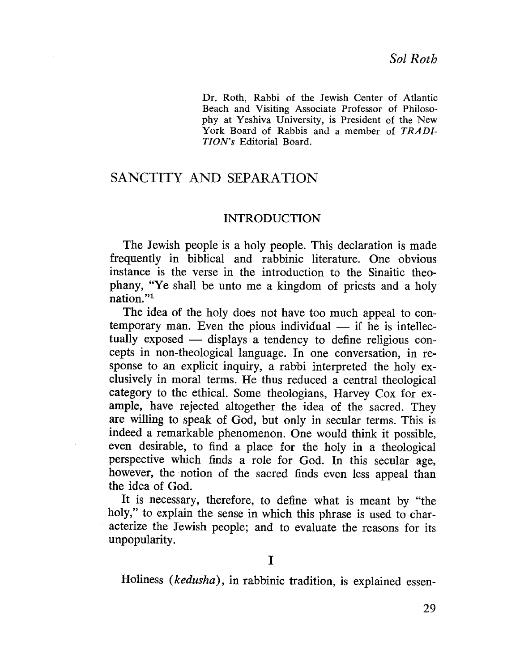Dr. Roth, Rabbi of the Jewish Center of Atlantic Beach and Visiting Associate Professor of Philosophy at Yeshiva University, is President of the New York Board of Rabbis and a member of TRADI-TION's Editorial Board.

# SANCTITY AND SEPARATION

### INTRODUCTION

The Jewish people is a holy people. This declaration is made frequently in biblical and rabbinic literature. One obvious instance is the verse in the introduction to the Sinaitic theophany, "Ye shall be unto me a kingdom of priests and a holy nation. "1

The idea of the holy does not have too much appeal to contemporary man. Even the pious individual  $-$  if he is intellectually exposed  $-$  displays a tendency to define religious concepts in non-theological language. In one conversation, in response to an explicit inquiry, a rabbi interpreted the holy exclusively in moral terms. He thus reduced a central theological category to the ethical. Some theologians, Harvey Cox for example, have rejected altogether the idea of the sacred. They are willing to speak of God, but only in secular terms. This is indeed a remarkable phenomenon. One would think it possible, even desirable, to find a place for the holy in a theological perspective which finds a role for God. In this secular age, however, the notion of the sacred finds even less appeal than the idea of God. .

It is necessary, therefore, to define what is meant by "the holy," to explain the sense in which this phrase is used to characterize the Jewish people; and to evaluate the reasons for its unpopularity.

Holiness (kedusha), in rabbinic tradition, is explained essen-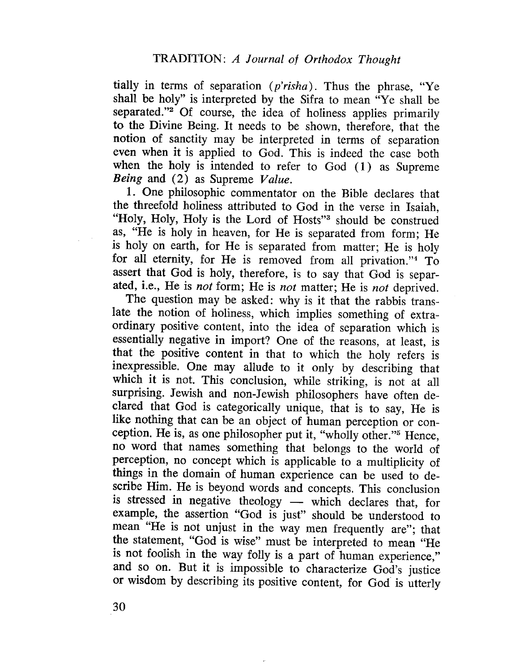tially in terms of separation  $(p'risha)$ . Thus the phrase, "Ye shall be holy" is interpreted by the Sifra to mean "Ye shall be separated."<sup>2</sup> Of course, the idea of holiness applies primarily to the Divine Being. It needs to be shown, therefore, that the notion of sanctity may be interpreted in terms of separation even when it is applied to God. This is indeed the case both when the holy is intended to refer to God  $(1)$  as Supreme Being and (2) as Supreme Value.

1. One philosophic commentator on the Bible declares that the threefold holiness attributed to God in the verse in Isaiah, "Holy, Holy, Holy is the Lord of Hosts"<sup>3</sup> should be construed as, "He is holy in heaven, for He is separated from form; He is holy on earth, for He is separated from matter; He is holy for all eternity, for He is removed from all privation."4 To assert that God is holy, therefore, is to say that God is separated, i.e., He is not form; He is not matter; He is not deprived.

The question may be asked: why is it that the rabbis translate the notion of holiness, which implies something of extraordinary positive content, into the idea of separation which is essentially negative in import? One of the reasons, at least, is that the positive content in that to which the holy refers is inexpressible. One may allude to it only by describing that which it is not. This conclusion, while striking, is not at all surprising. Jewish and non-Jewish philosophers have often declared that God is categorically unique, that is to say, He is like nothing that can be an object of human perception or conception. He is, as one philosopher put it, "wholly other."5 Hence, no word that names something that belongs to the world of perception, no concept which is applicable to a multiplicity of things in the domain of human experience can be used to describe Him. He is beyond words and concepts. This conclusion is stressed in negative theology - which declares that, for example, the assertion "God is just" should be understood to mean "He is not unjust in the way men frequently are"; that the statement, "God is wise" must be interpreted to mean "He is not foolish in the way folly is a part of human experience," and so on. But it is impossible to characterize God's justice or wisdom by describing its positive content, for God is utterly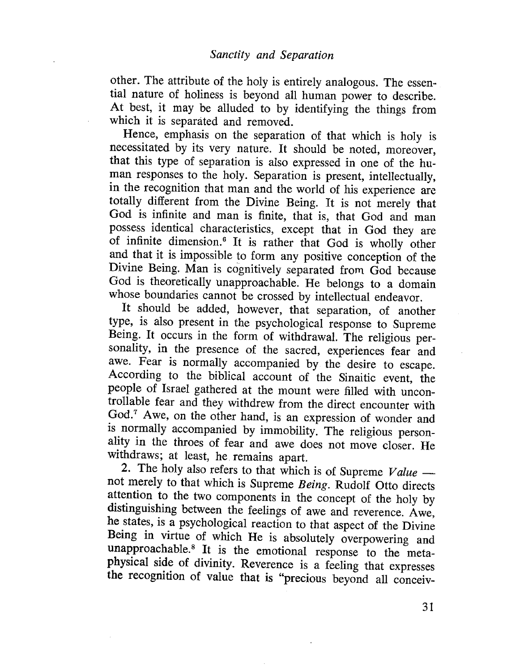other. The attribute of the holy is entirely analogous. The essential nature of holiness is beyond all human power to describe. At best, it may be alluded to by identifying the things from which it is separáted and removed.

Hence, emphasis on the separation of that which is holy is necessitated by its very nature. It should be noted, moreover, that this type of separation is also expressed in one of the human responses to the holy. Separation is present, intellectually, in the recognition that man and the world of his experience arc totally different from the Divine Being. It is not merely that God is infinite and man is finite, that is, that God and man possess identical characteristics, except that in God they are of infinite dimension.<sup>6</sup> It is rather that God is wholly other and that it is impossible to form any positive conception of the Divine Being. Man is cognitively separated from God because God is theoretically unapproachable. He belongs to a domain whose boundaries cannot be crossed by intellectual endeavor.

It should be added, however, that separation, of another type, is also present in the psychological response to Supreme Being. It occurs in the form of withdrawaL. The religious personality, in the presence of the sacred, experiences fear and awe. Fear is normally accompanied by the desire to escape. According to the biblical account of the Sinaitic event, the people of Israel gathered at the mount were filled with uncontrollable fear and they withdrew from the direct encounter with God.7 Awe, on the other hand, is an expression of wonder and is normally accompanied by immobility. The religious personality in the throes of fear and awe does not move closer. He withdraws; at least, he remains apart.

2. The holy also refers to that which is of Supreme  $Value$  not merely to that which is Supreme Being. Rudolf Otto directs attention to the two components in the concept of the holy by distinguishing between the feelings of awe and reverence. Awe, he states, is a psychological reaction to that aspect of the Divine Being in virtue of which He is absolutely overpowering and unapproachable.<sup>8</sup> It is the emotional response to the metaphysical side of divinity. Reverence is a feeling that expresses the recognition of value that is "precious beyond all conceiv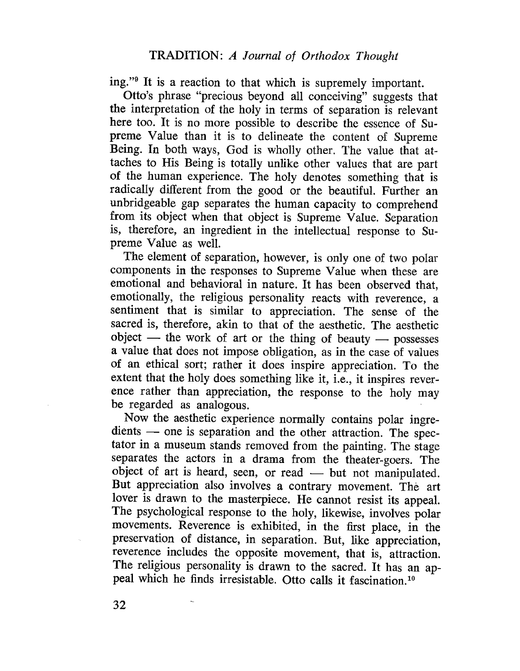ing."9 It is a reaction to that which is supremely important.

Otto's phrase "precious beyond all conceiving" suggests that the interpretation of the holy in terms of separation is relevant here too. It is no more possible to describe the essence of Supreme Value than it is to delineate the content of Supreme Being. In both ways, God is wholly other. The value that attaches to His Being is totally unlike other values that are part of the human experience. The holy denotes something that is radically different from the good or the beautiful. Further an unbridgeable gap separates the human capacity to comprehend from its object when that object is Supreme Value. Separation is, therefore, an ingredient in the intellectual response to Supreme Value as welL.

The element of separation, however, is only one of two polar components in the responses to Supreme Value when these are emotional and behavioral in nature. It has been observed that, emotionally, the religious personality reacts with reverence, a sentiment that is similar to appreciation. The sense of the sacred is, therefore, akin to that of the aesthetic. The aesthetic  $object$  - the work of art or the thing of beauty - possesses a value that does not impose obligation, as in the case of values of an ethical sort; rather it does inspire appreciation. To the extent that the holy does something like it, i.e., it inspires reverence rather than appreciation, the response to the holy may be regarded as analogous.

Now the aesthetic experience normally contains polar ingredients - one is separation and the other attraction. The spectator in a museum stands removed from the painting. The stage separates the actors in a drama from the theater-goers. The object of art is heard, seen, or read  $-$  but not manipulated. But appreciation also involves a contrary movement. The art lover is drawn to the masterpiece. He cannot resist its appeaL. The psychological response to the holy, likewise, involves polar movements. Reverence is exhibited, in the first place, in the preservation of distance, in separation. But, like appreciation, reverence includes the opposite movement, that is, attraction. The religious personality is drawn to the sacred. It has an appeal which he finds irresistable. Otto calls it fascination. 10

32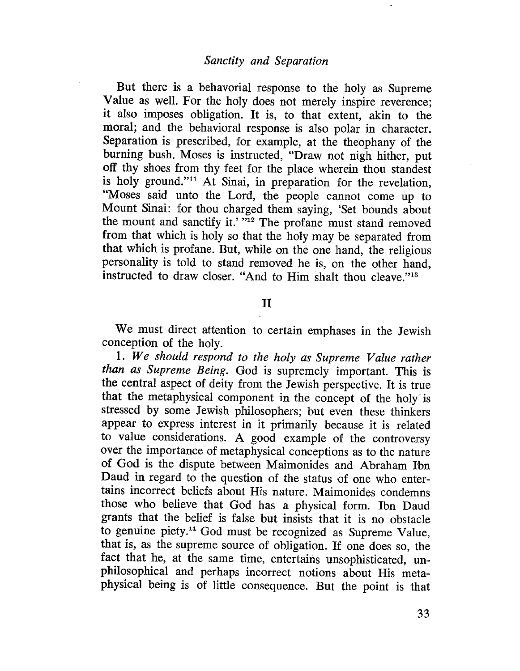But there is a behavorial response to the holy as Supreme Value as well. For the holy does not merely inspire reverence; it also imposes obligation. It is, to that extent, akin to the moral; and the behavioral response is also polar in character. Separation is prescribed, for example, at the theophany of the burning bush. Moses is instructed, "Draw not nigh hither, put off thy shoes from thy feet for the place wherein thou standest is holy ground." $\frac{1}{11}$  At Sinai, in preparation for the revelation, "Moses said unto the Lord, the people cannot come up to Mount Sinai: for thou charged them saying, 'Set bounds about the mount and sanctify it.' "12 The profane must stand removed from that which is holy so that the holy may be separated from that which is profane. But, while on the one hand, the religious personality is told to stand removed he is, on the other hand, instructed to draw closer. "And to Him shalt thou cleave."13

# II

We must direct attention to certain emphases in the Jewish conception of the holy.

1. We should respond to the holy as Supreme Value rather than as Supreme Being. God is supremely important. This is the central aspect of deity from the Jewish perspective. It is true that the metaphysical component in the concept of the holy is stressed by some Jewish philosophers; but even these thinkers appear to express interest in it primarily because it is related to value considerations. A good example of the controversy over the importance of metaphysical conceptions as to the nature of God is the dispute between Maimonides and Abraham lbn Daud in regard to the question of the status of one who entertains incorrect beliefs about His nature. Maimonides condemns those who believe that God has a physical form. Ibn Daud grants that the belief is false but insists that it is no obstacle to genuine piety.14 God must be recognized as Supreme Value, that is, as the supreme source of obligation. If one does so, the fact that he, at the same time, entertains unsophisticated, unphilosophical and perhaps incorrect notions about His metaphysical being is of little consequence. But the point is that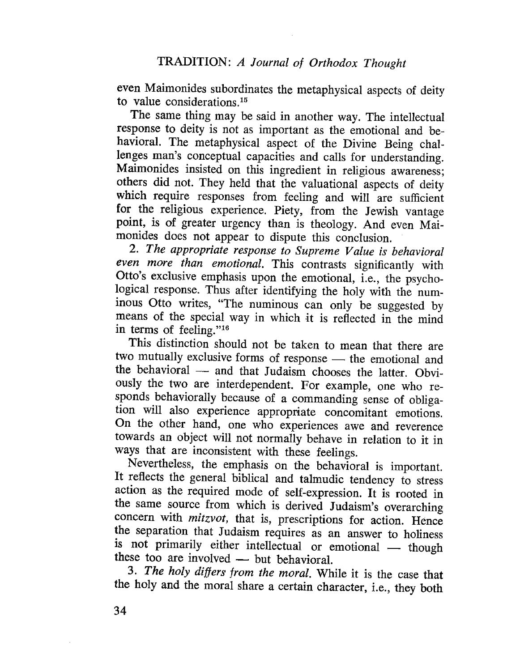even Maimonides subordinates the metaphysical aspects of deity to value considerations.<sup>15</sup>

The same thing may be said in another way. The intellectual response to deity is not as important as the emotional and behavioral. The metaphysical aspect of the Divine Being challenges man's conceptual capacities and calls for understanding. Maimonides insisted on this ingredient in religious awareness; others did not. They held that the valuational aspects of deity which require responses from feeling and will are sufficient for the religious experience. Piety, from the Jewish vantage point, is of greater urgency than is theology. And even Maimonides does not appear to dispute this conclusion.

2. The appropriate response to Supreme Value is behavioral even more than emotional. This contrasts significantly with Otto's exclusive emphasis upon the emotional, i.e., the psychological response. Thus after identifying the holy with the numinous Otto writes, "The numinous can only be suggested by means of the special way in which it is reflected in the mind in terms of feeling."16

This distinction should not be taken to mean that there are two mutually exclusive forms of response - the emotional and the behavioral  $-$  and that Judaism chooses the latter. Obviously the two are interdependent. For example, one who responds behaviorally because of a commanding sense of obligation will also experience appropriate concomitant emotions. On the other hand, one who experiences awe and reverence towards an object will not normally behave in relation to it in ways that are inconsistent with these feelings.

Nevertheless, the emphasis on the behavioral is important. It reflects the general biblical and talmudic tendency to stress action as the required mode of self-expression. It is rooted in the same source from which is derived Judaism's overarching concern with *mitzvot*, that is, prescriptions for action. Hence the separation that Judaism requires as an answer to holiness is not primarily either intellectual or emotional - though these too are involved  $-$  but behavioral.

3. The holy differs from the moral. While it is the case that the holy and the moral share a certain character, i.e., they both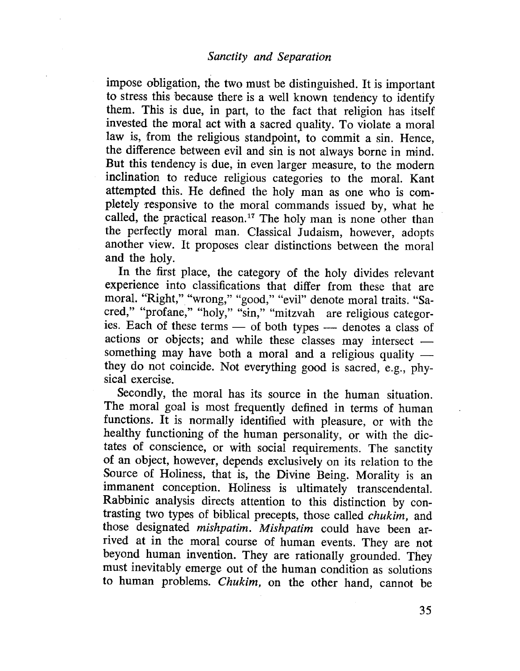impose obligation, the two must be distinguished. It is important to stress this because there is a well known tendency to identify them. This is due, in part, to the fact that religion has itself invested the moral act with a sacred quality. To violate a moral law is, from the religious standpoint, to commit a sin. Hence, the difference between evil and sin is not always borne in mind. But this tendency is due, in even larger measure, to the modern inclination to reduce religious categories to the moraL. Kant attempted this. He defined the holy man as one who is completely responsive to the moral commands issued by, what he called, the practical reason.<sup>17</sup> The holy man is none other than the perfectly moral man. Classical Judaism, however, adopts another view. It proposes clear distinctions between the moral and the holy.

In the first place, the category of the holy divides relevant experience into classifications that differ from these that are moraL. "Right," "wrong," "good," "evil" denote moral traits. "Sacred," "profane," "holy," "sin," "mitzvah are religious categories. Each of these terms — of both types — denotes a class of actions or objects; and while these classes may intersect something may have both a moral and a religious quality  $$ they do not coincide. Not everything good is sacred, e.g., physical exercise.

Secondly, the moral has its source in the human situation. The moral goal is most frequently defined in terms of human functions. It is normally identified with pleasure, or with the healthy functioning of the human personality, or with the dictates of conscience, or with social requirements. The sanctity of an object, however, depends exclusively on its relation to the Source of Holiness, that is, the Divine Being. Morality is an immanent conception. Holiness is ultimately transcendentaL. Rabbinic analysis directs attention to this distinction by contrasting two types of biblical precepts, those called chukim, and those designated mishpatim. Mishpatim could have been arrived at in the moral course of human events. They are not beyond human invention. They are rationally grounded. They must inevitably emerge out of the human condition as solutions to human problems. Chukim, on the other hand, cannot be

35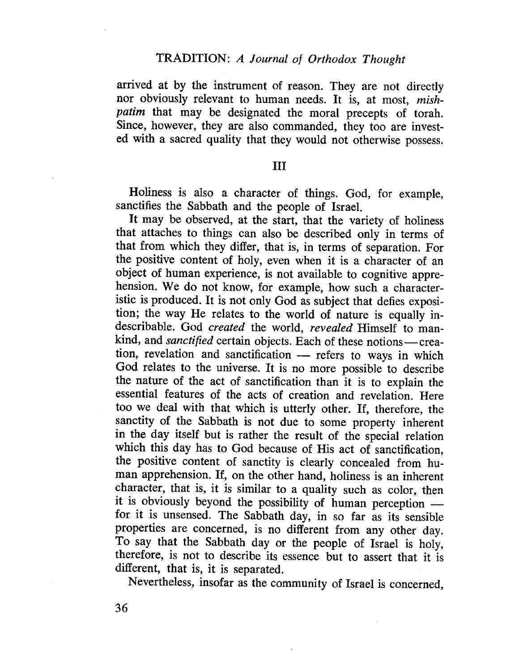arrived at by the instrument of reason. They are not directly nor obviously relevant to human needs. It is, at most, mishpatim that may be designated the moral precepts of torah. Since, however, they are also commanded, they too are invested with a sacred quality that they would not otherwise possess.

### III

Holiness is also a character of things. God, for example, sanctifies the Sabbath and the people of IsraeL.

It may be observed, at the start, that the variety of holiness that attaches to things can also be described only in terms of that from which they differ, that is, in terms of separation. For the positive content of holy, even when it is a character of an object of human experience, is not available to cognitive apprehension. We do not know, for example, how such a characteristic is produced. It is not only God as subject that defies exposition; the way He relates to the world of nature is equally indescribable. God created the world, revealed Himself to mankind, and *sanctified* certain objects. Each of these notions-creation, revelation and sanctification - refers to ways in which God relates to the universe. It is no more possible to describe the nature of the act of sanctification than it is to explain the essential features of the acts of creation and revelation. Here too we deal with that which is utterly other. If, therefore, the sanctity of the Sabbath is not due to some property inherent in the day itself but is rather the result of the special relation which this day has to God because of His act of sanctification, the positive content of sanctity is clearly concealed from human apprehension. If, on the other hand, holiness is an inherent character, that is, it is similar to a quality such as color, then it is obviously beyond the possibility of human perception for it is unsensed. The Sabbath day, in so far as its sensible properties are concerned, is no different from any other day. To say that the Sabbath day or the people of Israel is holy, therefore, is not to describe its essence but to assert that it is different, that is, it is separated.

Nevertheless, insofar as the community of Israel is concerned,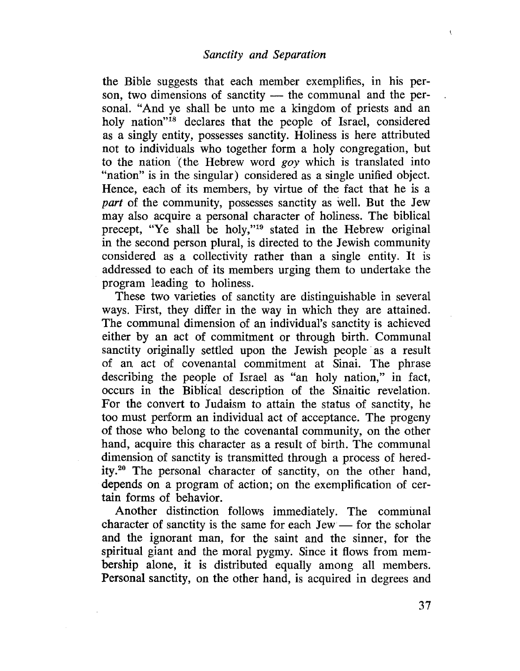the Bible suggests that each member exemplifies, in his person, two dimensions of sanctity  $-$  the communal and the personal. "And ye shall be unto me a kingdom of priests and an holy nation"<sup>18</sup> declares that the people of Israel, considered as a singly entity, possesses sanctity. Holiness is here attributed not to individuals who together form a holy congregation, but to the nation (the Hebrew word goy which is translated into "nation" is in the singular) considered as a single unified object. Hence, each of its members, by virtue of the fact that he is a part of the community, possesses sanctity as well. But the Jew may also acquire a personal character of holiness. The biblical precept, "Ye shall be holy,"19 stated in the Hebrew original in the second person plural, is directed to the Jewish community considered as a collectivity rather than a single entity. It is addressed to each of its members urging them to undertake the program leading to holiness.

These two varieties of sanctity are distinguishable in several ways. First, they differ in the way in which they are attained. The communal dimension of an individual's sanctity is achieved either by an act of commitment or through birth. Communal sanctity originally settled upon the Jewish people as a result of an act of covenantal commitment at Sinai. The phrase describing the people of Israel as "an holy nation," in fact, occurs in the Biblical description of the Sinaitic revelation. For the convert to Judaism to attain the status of sanctity, he too must perform an individual act of acceptance. The progeny of those who belong to the covenantal community, on the other hand, acquire this character as a result of birth. The communal dimension of sanctity is transmitted through a process of heredity.20 The personal character of sanctity, on the other hand, depends on a program of action; on the exemplification of certain forms of behavior.

Another distinction follows immediately. The communal character of sanctity is the same for each  $Jew$  - for the scholar and the ignorant man, for the saint and the sinner, for the spiritual giant and the moral pygmy. Since it flows from membership alone, it is distributed equally among all members. Personal sanctity, on the other hand, is acquired in degrees and  $\mathbf{t}$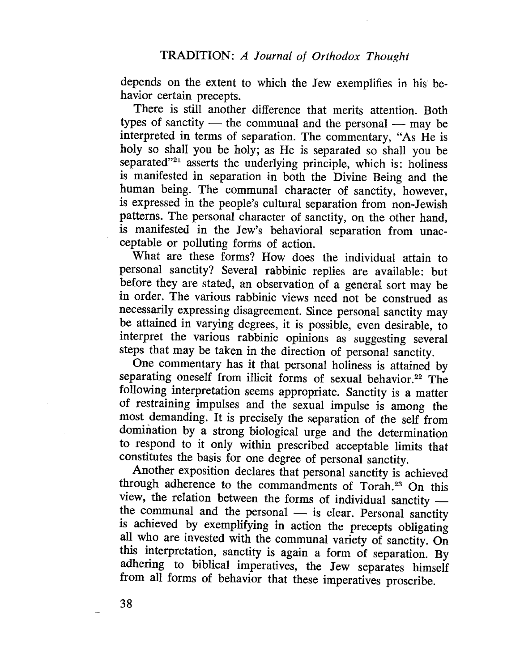depends on the extent to which the Jew exemplifies in his behavior certain precepts.

There is still another difference that merits attention. Both types of sanctity  $-$  the communal and the personal  $-$  may be interpreted in terms of separation. The commentary, "As He is holy so shall you be holy; as He is separated so shall you be separated"<sup>21</sup> asserts the underlying principle, which is: holiness is manifested in separation in both the Divine Being and the human being. The communal character of sanctity, however, is expressed in the people's cultural separation from non-Jewish patterns. The personal character of sanctity, On the other hand, is manifested in the Jew's behavioral separation from unacceptable or polluting forms of action.

What are these forms? How does the individual attain to personal sanctity? Several rabbinic replies are available: but before they are stated, an observation of a general sort may be in order. The various rabbinic views need not be construed as necessarily expressing disagreement. Since personal sanctity may be attained in varying degrees, it is possible, even desirable, to interpret the various rabbinic opinions as suggesting several steps that may be taken in the direction of personal sanctity.

One commentary has it that personal holiness is attained by separating oneself from illicit forms of sexual behavior.<sup>22</sup> The following interpretation seems appropriate. Sanctity is a matter of restraining impulses and the sexual impulse is among the most demanding. It is precisely the separation of the self from domination by a strong biological urge and the determination to respond to it only within prescribed acceptable limits that constitutes the basis for one degree of personal sanctity.

Another exposition declares that personal sanctity is achieved through adherence to the commandments of Torah.23 On this view, the relation between the forms of individual sanctity the communal and the personal  $-$  is clear. Personal sanctity is achieved by exemplifying in action the precepts obligating all who are invested with the communal variety of sanctity. On this interpretation, sanctity is again a form of separation. By adhering to biblical imperatives, the Jew separates himself from all forms of behavior that these imperatives proscribe.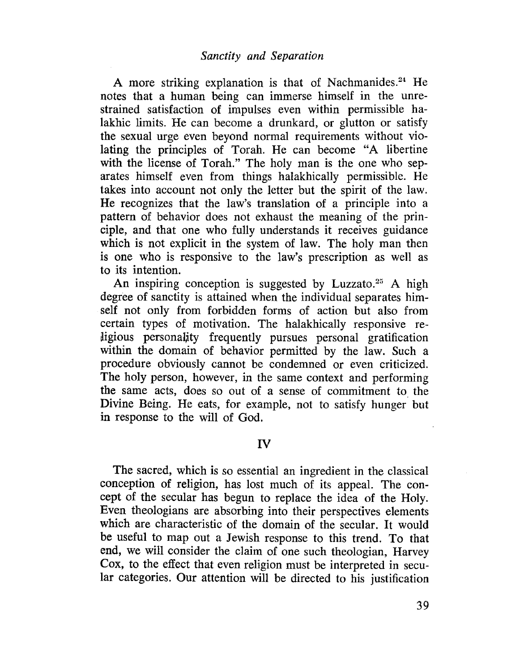A more striking explanation is that of Nachmanides.<sup>24</sup> He notes that a human being can immerse himself in the unrestrained satisfaction of impulses even within permissible halakhic limits. He can become a drunkard, or glutton or satisfy the sexual urge even beyond normal requirements without violating the principles of Torah. He can become "A libertine with the license of Torah." The holy man is the one who separates himself even from things halakhically permissible. He takes into account not only the letter but the spirit of the law. He recognizes that the law's translation of a principle into a pattern of behavior does not exhaust the meaning of the principle, and that one who fully understands it receives guidance which is not explicit in the system of law. The holy man then is one who is responsive to the law's prescription as well as to its intention.

An inspiring conception is suggested by Luzzato.<sup>25</sup> A high degree of sanctity is attained when the individual separates himself not only from forbidden forms of action but also from certain types of motivation. The halakhically responsive religious personality frequently pursues personal gratification within the domain of behavior permitted by the law. Such a procedure obviously cannot be condemned or even criticized. The holy person, however, in the same context and performing the same acts, does so out of a sense of commitment to. the Divine Being. He eats, for example, not to satisfy hunger but in response to the will of God.

# IV

The sacred, which is so essential an ingredient in the classical conception of religion, has lost much of its appeaL. The concept of the secular has begun to replace the idea of the Holy. Even theologians are absorbing into their perspectives elements which are characteristic of the domain of the secular. It would be useful to map out a Jewish response to this trend. To that end, we will consider the claim of one such theologian, Harvey Cox, to the effect that even religion must be interpreted in secular categories. Our attention will be directed to his justification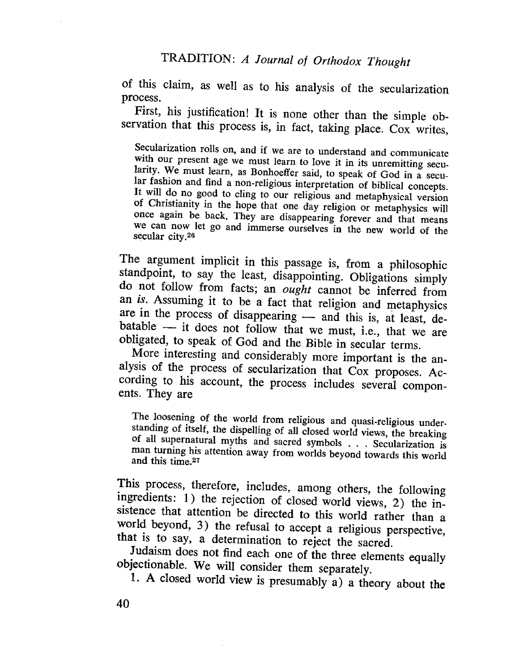of this claim, as well as to his analysis of the secularization process.

First, his justification! It is none other than the simple observation that this process is, in fact, taking place. Cox writes,

Secularization rolls on, and if we are to understand and communicate with our present age we must learn to love it in its unremitting secularity. We must learn, as Bonhoeffer said, to speak of God in a secular fashion and find a non-religious interpretation of biblical concepts. It will do no good to cling to our religious and metaphysical version of Christianity in the hope that one day religion or metaphysics wil once again be back. They are disappearing forever and that means we can now let go and immerse ourselves in the new world of the secular city.26

The argument implicit in this passage is, from a philosophic standpoint, to say the least, disappointing. Obligations simply do not follow from facts; an ought cannot be inferred from an is. Assuming it to be a fact that religion and metaphysics are in the process of disappearing - and this is, at least, de $b$ atable  $-$  it does not follow that we must, i.e., that we are obligated, to speak of God and the Bible in secular terms.

More interesting and considerably more important is the analysis of the process of secularization that Cox proposes. According to his account, the process includes several components. They are

The loosening of the world from religious and quasi-religious understanding of itself, the dispelling of all closed world views, the breaking of all supernatural myths and sacred symbols . . . Secularization is man turning his attention away from worlds beyond towards this world and this time.27

This process, therefore, includes, among others, the following ingredients: 1) the rejection of closed world views, 2) the insistence that attention be directed to this world rather than a world beyond, 3) the refusal to accept a religious perspective, that is to say, a determination to reject the sacred.

Judaism does not find each one of the three elements equally objectionable. We will consider them separately.

1. A closed world view is presumably a) a theory about the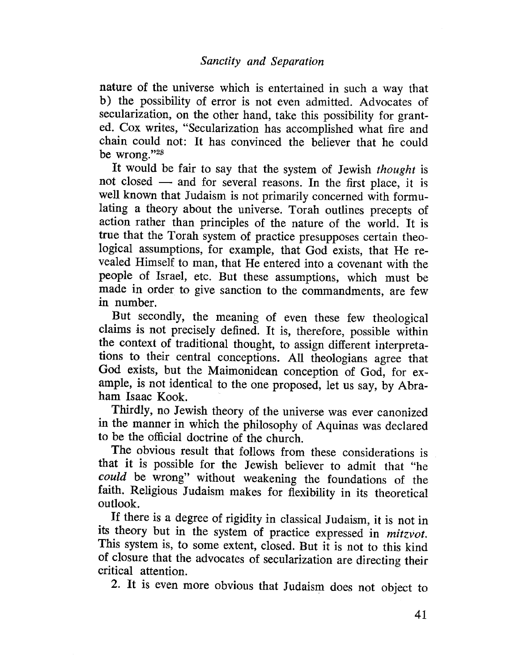nature of the universe which is entertained in such a way that b) the possibility of error is not even admitted. Advocates of secularization, on the other hand, take this possibility for granted. Cox writes, "Secularization has accomplished what fire and chain could not: It has convinced the believer that he could be wrong. "2\$

It would be fair to say that the system of Jewish *thought* is not closed - and for several reasons. In the first place, it is well known that Judaism is not primarily concerned with formulating a theory about the universe. Torah outlines precepts of action rather than principles of the nature of the world. It is true that the Torah system of practice presupposes certain theological assumptions, for example, that God exists, that He revealed Himself to man, that He entered into a covenant with the people of Israel, etc. But these assumptions, which must be made in order to give sanction to the commandments, are few in number.

But secondly, the meaning of even these few theological claims is not precisely defined. It is, therefore, possible within the context of traditional thought, to assign different interpretations to their central conceptions. All theologians agree that God exists, but the Maimonidean conception of God, for example, is not identical to the one proposed, let us say, by Abraham Isaac Kook.

Thirdly, no Jewish theory of the universe was ever canonized in the manner in which the philosophy of Aquinas was declared to be the offcial doctrine of the church.

The obvious result that follows from these considerations is that it is possible for the Jewish believer to admit that "he could be wrong" without weakening the foundations of the faith. Religious Judaism makes for flexibilty in its theoretical outlook.

If there is a degree of rigidity in classical Judaism, it is not in its theory but in the system of practice expressed in *mitzvot*. This system is, to some extent, closed. But it is not to this kind of closure that the advocates of secularization are directing their critical attention.

2. It is even more obvious that Judaism does not object to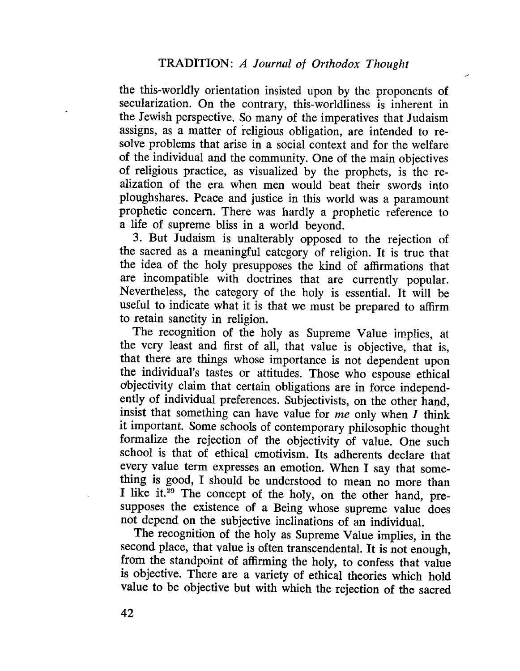--

the this-worldly orientation insisted upon by the proponents of secularization. On the contrary, this-worldliness is inherent in the Jewish perspective. So many of the imperatives that Judaism assigns, as a matter of religious obligation, are intended to resolve problems that arise in a social context and for the welfare of the individual and the community. One of the main objectives of religious practice, as visualized by the prophets, is the realization of the era when men would beat their swords into ploughshares. Peace and justice in this world was a paramount prophetic concern. There was hardly a prophetic reference to a life of supreme bliss in a world beyond.

3. But Judaism is unalterably opposed to the rejection of the sacred as a meaningful category of religion. It is true that the idea of the holy presupposes the kind of affrmations that are incompatible with doctrines that are currently popular. Nevertheless, the category of the holy is essential. It will be useful to indicate what it is that we must be prepared to affrm to retain sanctity in religion.

The recognition of the holy as Supreme Value implies, at the very least and first of all, that value is objective, that is, that there are things whose importance is not dependent upon the individual's tastes or attitudes. Those who espouse ethical objectivity claim that certain obligations are in force independently of individual preferences. Subjectivists, on the other hand, insist that something can have value for  $me$  only when  $I$  think it important. Some schools of contemporary philosophic thought formalize the rejection of the objectivity of value. One such school is that of ethical emotivism. Its adherents declare that every value term expresses an emotion. When I say that something is good, I should be understood to mean no more than I like it. $\frac{29}{7}$  The concept of the holy, on the other hand, presupposes the existence of a Being whose supreme value does not depend on the subjective inclinations of an individuaL.

The recognition of the holy as Supreme Value implies, in the second place, that value is often transcendental. It is not enough, from the standpoint of affrming the holy, to confess that value is objective. There are a variety of ethical theories which hold value to be objective but with which the rejection of the sacred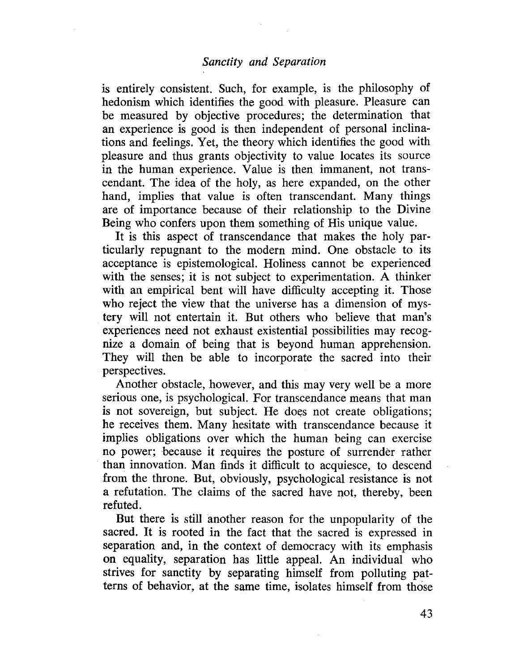# Sanctity and Separation

is entirely consistent. Such, for example, is the philosophy of hedonism which identifies the good with pleasure. Pleasure can be measured by objective procedures; the determination that an experience is good is then independent of personal inclinations and feelings. Yet, the theory which identifies the good with pleasure and thus grants objectivity to value locates its source in the human experience. Value is then immanent, not transcendant. The idea of the holy, as here expanded, on the other hand, implies that value is often transcendant. Many things are of importance because of their relationship to the Divine Being who confers upon them something of His unique value.

It is this aspect of transcendance that makes the holy particularly repugnant to the modern mind. One obstacle to its acceptance is epistemological. Holiness cannot be experienced with the senses; it is not subject to experimentation. A thinker with an empirical bent will have difficulty accepting it. Those who reject the view that the universe has a dimension of mystery will not entertain it. But others who believe that man's experiences need not exhaust existential possibilities may recognize a domain of being that is beyond human apprehension. They will then be able to incorporate the sacred into their perspectives.

Another obstacle, however, and this may very well be a more serious one, is psychological. For transcendance means that man is not sovereign, but subject. He does not create obligations; he receives them. Many hesitate with transcendance because it implies obligations over which the human being can exercise no power; because it requires the posture of surrender rather than innovation. Man finds it difficult to acquiesce, to descend from the throne. But, obviously, psychological resistance is not a refutation. The claims of the sacred have not, thereby, been refuted.

But there is still another reason for the unpopularity of the sacred. It is rooted in the fact that the sacred is expressed in separation and, in the context of democracy with its emphasis on equality, separation has little appeaL. An individual who strives for sanctity by separating himself from polluting patterns of behavior, at the same time, isolates himself from those

43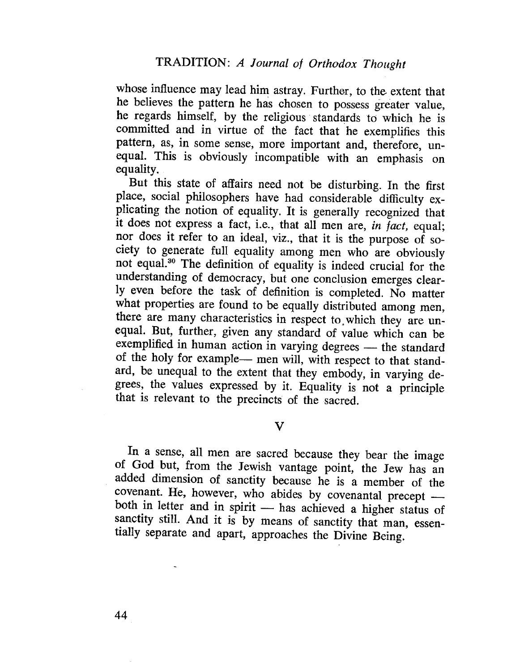whose influence may lead him astray. Further, to the extent that he believes the pattern he has chosen to possess greater value, he regards himself, by the religious. standards to which he is committed and in virtue of the fact that he exemplifies this pattern, as, in some sense, more important and, therefore, unequal. This is obviously incompatible with an emphasis on equality.

But this state of affairs need not be disturbing. In the first place, social philosophers have had considerable difficulty explicating the notion of equality. It is generally recognized that it does not express a fact, i.e., that all men are, in fact, equal; nor does it refer to an ideal, viz., that it is the purpose of society to generate full equality among men who are obviously not equal.30 The definition of equality is indeed crucial for the understanding of democracy, but one conclusion emerges clearly even before the task of definition is completed. No matter what properties are found to be equally distributed among men, there are many characteristics in respect to, which they are unequal. But, further, given any standard of value which can be exemplified in human action in varying degrees - the standard of the holy for example- men will, with respect to that standard, be unequal to the extent that they embody, in varying degrees, the values expressed by it. Equality is not a principle that is relevant to the precincts of the sacred.

v

In a sense, all men are sacred because they bear the image of God but, from the Jewish vantage point, the Jew has an added dimension of sanctity because he is a member of the covenant. He, however, who abides by covenantal precept  $$ both in letter and in spirit - has achieved a higher status of sanctity still. And it is by means of sanctity that man, essentially separate and apart, approaches the Divine Being.